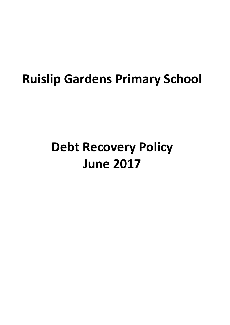# **Ruislip Gardens Primary School**

# **Debt Recovery Policy June 2017**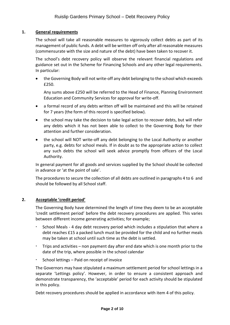# **1. General requirements**

The school will take all reasonable measures to vigorously collect debts as part of its management of public funds. A debt will be written off only after all reasonable measures (commensurate with the size and nature of the debt) have been taken to recover it.

The school's debt recovery policy will observe the relevant financial regulations and guidance set out in the Scheme for Financing Schools and any other legal requirements. In particular:

 the Governing Body will not write-off any debt belonging to the school which exceeds £250.

Any sums above £250 will be referred to the Head of Finance, Planning Environment Education and Community Services for approval for write-off.

- a formal record of any debts written off will be maintained and this will be retained for 7 years (the form of this record is specified below).
- the school may take the decision to take legal action to recover debts, but will refer any debts which it has not been able to collect to the Governing Body for their attention and further consideration.
- the school will NOT write-off any debt belonging to the Local Authority or another party, e.g. debts for school meals. If in doubt as to the appropriate action to collect any such debts the school will seek advice promptly from officers of the Local Authority.

In general payment for all goods and services supplied by the School should be collected in advance or 'at the point of sale'.

The procedures to secure the collection of all debts are outlined in paragraphs 4 to 6 and should be followed by all School staff.

#### **2. Acceptable 'credit period'**

The Governing Body have determined the length of time they deem to be an acceptable 'credit settlement period' before the debt recovery procedures are applied. This varies between different income generating activities; for example;

- School Meals 4 day debt recovery period which includes a stipulation that where a debt reaches £15 a packed lunch must be provided for the child and no further meals may be taken at school until such time as the debt is settled.
- Trips and activities non payment day after end date which is one month prior to the date of the trip, where possible in the school calendar
- School lettings Paid on receipt of invoice

The Governors may have stipulated a maximum settlement period for school lettings in a separate 'Lettings policy'. However, in order to ensure a consistent approach and demonstrate transparency, the 'acceptable' period for each activity should be stipulated in this policy.

Debt recovery procedures should be applied in accordance with item 4 of this policy.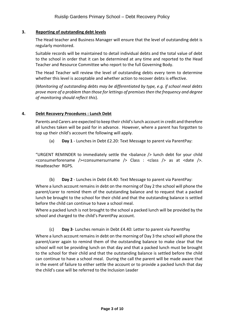# **3. Reporting of outstanding debt levels**

The Head teacher and Business Manager will ensure that the level of outstanding debt is regularly monitored.

Suitable records will be maintained to detail individual debts and the total value of debt to the school in order that it can be determined at any time and reported to the Head Teacher and Resource Committee who report to the full Governing Body.

The Head Teacher will review the level of outstanding debts every term to determine whether this level is acceptable and whether action to recover debts is effective.

(*Monitoring of outstanding debts may be differentiated by type, e.g. if school meal debts prove more of a problem than those for lettings of premises then the frequency and degree of monitoring should reflect this*).

#### **4. Debt Recovery Procedures : Lunch Debt**

Parents and Carers are expected to keep their child's lunch account in credit and therefore all lunches taken will be paid for in advance. However, where a parent has forgotten to top up their child's account the following will apply.

(a) **Day 1** - Lunches in Debt £2.20: Text Message to parent via ParentPay:

"URGENT REMINDER to immediately settle the <balance /> lunch debt for your child <consumerforename /><consumersurname /> Class : <class /> as at <date />. Headteacher RGPS.

(b) **Day 2** - Lunches in Debt £4.40: Text Message to parent via ParentPay:

Where a lunch account remains in debt on the morning of Day 2 the school will phone the parent/carer to remind them of the outstanding balance and to request that a packed lunch be brought to the school for their child and that the outstanding balance is settled before the child can continue to have a school meal.

Where a packed lunch is not brought to the school a packed lunch will be provided by the school and charged to the child's ParentPay account.

(c) **Day 3**- Lunches remain in Debt £4.40: Letter to parent via ParentPay

Where a lunch account remains in debt on the morning of Day 3 the school will phone the parent/carer again to remind them of the outstanding balance to make clear that the school will not be providing lunch on that day and that a packed lunch must be brought to the school for their child and that the outstanding balance is settled before the child can continue to have a school meal. During the call the parent will be made aware that in the event of failure to either settle the account or to provide a packed lunch that day the child's case will be referred to the Inclusion Leader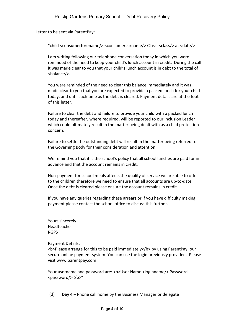Letter to be sent via ParentPay:

"child <consumerforename/> <consumersurname/> Class: <class/> at <date/>

I am writing following our telephone conversation today in which you were reminded of the need to keep your child's lunch account in credit. During the call it was made clear to you that your child's lunch account is in debt to the total of <balance/>.

You were reminded of the need to clear this balance immediately and it was made clear to you that you are expected to provide a packed lunch for your child today, and until such time as the debt is cleared. Payment details are at the foot of this letter.

Failure to clear the debt and failure to provide your child with a packed lunch today and thereafter, where required, will be reported to our Inclusion Leader which could ultimately result in the matter being dealt with as a child protection concern.

Failure to settle the outstanding debt will result in the matter being referred to the Governing Body for their consideration and attention.

We remind you that it is the school's policy that all school lunches are paid for in advance and that the account remains in credit.

Non-payment for school meals affects the quality of service we are able to offer to the children therefore we need to ensure that all accounts are up-to-date. Once the debt is cleared please ensure the account remains in credit.

If you have any queries regarding these arrears or if you have difficulty making payment please contact the school office to discuss this further.

Yours sincerely Headteacher RGPS

Payment Details:

**Please arrange for this to be paid immediately </b>/>/b> by using ParentPay, our** secure online payment system. You can use the login previously provided. Please visit www.parentpay.com

Your username and password are: <b>User Name <loginname/>Password <password/></b>"

(d) **Day 4** – Phone call home by the Business Manager or delegate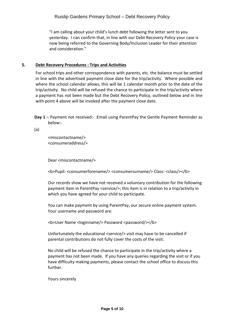"I am calling about your child's lunch debt following the letter sent to you yesterday. I can confirm that, in line with our Debt Recovery Policy your case is now being referred to the Governing Body/Inclusion Leader for their attention and consideration."

# **5. Debt Recovery Procedures : Trips and Activities**

For school trips and other correspondence with parents, etc. the balance must be settled in line with the advertised payment close date for the trip/activity. Where possible and where the school calendar allows, this will be 1 calendar month prior to the date of the trip/activity. No child will be refused the chance to participate in the trip/activity where a payment has not been made but the Debt Recovery Policy, outlined below and in line with point 4 above will be invoked after the payment close date.

**Day 1** – Payment not received:- :Email using ParentPay the Gentle Payment Reminder as below:-

(a)

<miscontactname/> <consumeraddress/>

Dear <miscontactname/>

<b>Pupil: <consumerforename/> <consumersurname/> Class: <class/></b>

Our records show we have not received a voluntary contribution for the following payment item in ParentPay <service/>; this item is in relation to a trip/activity in which you have agreed for your child to participate.

You can make payment by using ParentPay, our secure online payment system. Your username and password are:

<b>User Name <loginname/> Password <password/></b>

Unfortunately the educational <service/> visit may have to be cancelled if parental contributions do not fully cover the costs of the visit.

No child will be refused the chance to participate in the trip/activity where a payment has not been made. If you have any queries regarding the visit or if you have difficulty making payments, please contact the school office to discuss this further.

Yours sincerely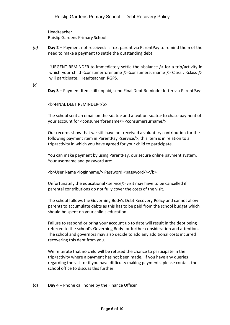Headteacher Ruislip Gardens Primary School

*(b)* **Day 2** – Payment not received:- : Text parent via ParentPay to remind them of the need to make a payment to settle the outstanding debt:

"URGENT REMINDER to immediately settle the  $\langle$ balance  $\rangle$ > for a trip/activity in which your child <consumerforename />
<consumersurname />
Class : <class />  $\geq$ will participate. Headteacher RGPS.

(c)

**Day 3** – Payment Item still unpaid, send Final Debt Reminder letter via ParentPay:

<b>FINAL DEBT REMINDER</b>

The school sent an email on the <date> and a text on <date> to chase payment of your account for <consumerforename/> <consumersurname/>.

Our records show that we still have not received a voluntary contribution for the following payment item in ParentPay <service/>; this item is in relation to a trip/activity in which you have agreed for your child to participate.

You can make payment by using ParentPay, our secure online payment system. Your username and password are:

<b>User Name <loginname/> Password <password/></b>

Unfortunately the educational <service/> visit may have to be cancelled if parental contributions do not fully cover the costs of the visit.

The school follows the Governing Body's Debt Recovery Policy and cannot allow parents to accumulate debts as this has to be paid from the school budget which should be spent on your child's education.

Failure to respond or bring your account up to date will result in the debt being referred to the school's Governing Body for further consideration and attention. The school and governors may also decide to add any additional costs incurred recovering this debt from you.

We reiterate that no child will be refused the chance to participate in the trip/activity where a payment has not been made. If you have any queries regarding the visit or if you have difficulty making payments, please contact the school office to discuss this further.

(d) **Day 4** – Phone call home by the Finance Officer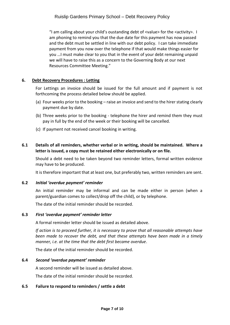"I am calling about your child's oustanding debt of <value> for the <activity>. I am phoning to remind you that the due date for this payment has now passed and the debt must be settled in line with our debt policy. I can take immediate payment from you now over the telephone if that would make things easier for you …I must make clear to you that in the event of your debt remaining unpaid we will have to raise this as a concern to the Governing Body at our next Resources Committee Meeting."

# **6. Debt Recovery Procedures : Letting**

For Lettings an invoice should be issued for the full amount and if payment is not forthcoming the process detailed below should be applied.

- (a) Four weeks prior to the booking raise an invoice and send to the hirer stating clearly payment due by date.
- (b) Three weeks prior to the booking telephone the hirer and remind them they must pay in full by the end of the week or their booking will be cancelled.
- (c) If payment not received cancel booking in writing.

# **6.1 Details of all reminders, whether verbal or in writing, should be maintained. Where a letter is issued, a copy must be retained either electronically or on file.**

Should a debt need to be taken beyond two reminder letters, formal written evidence may have to be produced.

It is therefore important that at least one, but preferably two, written reminders are sent.

#### **6.2** *Initial 'overdue payment' reminder*

An initial reminder may be informal and can be made either in person (when a parent/guardian comes to collect/drop off the child), or by telephone.

The date of the initial reminder should be recorded.

#### **6.3** *First 'overdue payment' reminder letter*

A formal reminder letter should be issued as detailed above.

*If action is to proceed further, it is necessary to prove that all reasonable attempts have been made to recover the debt, and that these attempts have been made in a timely manner, i.e. at the time that the debt first became overdue*.

The date of the initial reminder should be recorded.

#### **6.4** *Second 'overdue payment' reminder*

A second reminder will be issued as detailed above.

The date of the initial reminder should be recorded.

#### **6.5 Failure to respond to reminders / settle a debt**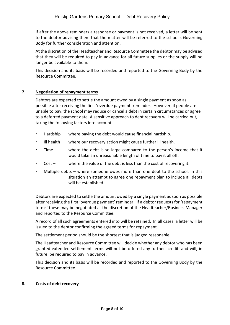If after the above reminders a response or payment is not received, a letter will be sent to the debtor advising them that the matter will be referred to the school's Governing Body for further consideration and attention.

At the discretion of the Headteacher and Resource Committee the debtor may be advised that they will be required to pay in advance for all future supplies or the supply will no longer be available to them.

This decision and its basis will be recorded and reported to the Governing Body by the Resource Committee.

# **7. Negotiation of repayment terms**

Debtors are expected to settle the amount owed by a single payment as soon as possible after receiving the first 'overdue payment' reminder. However, if people are unable to pay, the school may reduce or cancel a debt in certain circumstances or agree to a deferred payment date. A sensitive approach to debt recovery will be carried out, taking the following factors into account.

- Hardship where paying the debt would cause financial hardship.
- Ill health where our recovery action might cause further ill health.
- Time where the debt is so large compared to the person's income that it would take an unreasonable length of time to pay it all off.
- Cost where the value of the debt is less than the cost of recovering it.
- Multiple debts where someone owes more than one debt to the school. In this situation an attempt to agree one repayment plan to include all debts will be established.

Debtors are expected to settle the amount owed by a single payment as soon as possible after receiving the first 'overdue payment' reminder. If a debtor requests for 'repayment terms' these may be negotiated at the discretion of the Headteacher/Business Manager and reported to the Resource Committee.

A record of all such agreements entered into will be retained. In all cases, a letter will be issued to the debtor confirming the agreed terms for repayment.

The settlement period should be the shortest that is judged reasonable.

The Headteacher and Resource Committee will decide whether any debtor who has been granted extended settlement terms will not be offered any further 'credit' and will, in future, be required to pay in advance.

This decision and its basis will be recorded and reported to the Governing Body by the Resource Committee.

#### **8. Costs of debt recovery**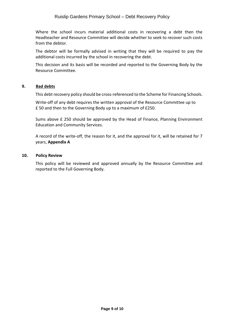Where the school incurs material additional costs in recovering a debt then the Headteacher and Resource Committee will decide whether to seek to recover such costs from the debtor.

The debtor will be formally advised in writing that they will be required to pay the additional costs incurred by the school in recovering the debt.

This decision and its basis will be recorded and reported to the Governing Body by the Resource Committee.

# **9. Bad debts**

This debt recovery policy should be cross-referenced to the Scheme for Financing Schools.

Write-off of any debt requires the written approval of the Resource Committee up to £ 50 and then to the Governing Body up to a maximum of £250.

Sums above £ 250 should be approved by the Head of Finance, Planning Environment Education and Community Services.

A record of the write-off, the reason for it, and the approval for it, will be retained for 7 years, **Appendix A**

#### **10. Policy Review**

This policy will be reviewed and approved annually by the Resource Committee and reported to the Full Governing Body.